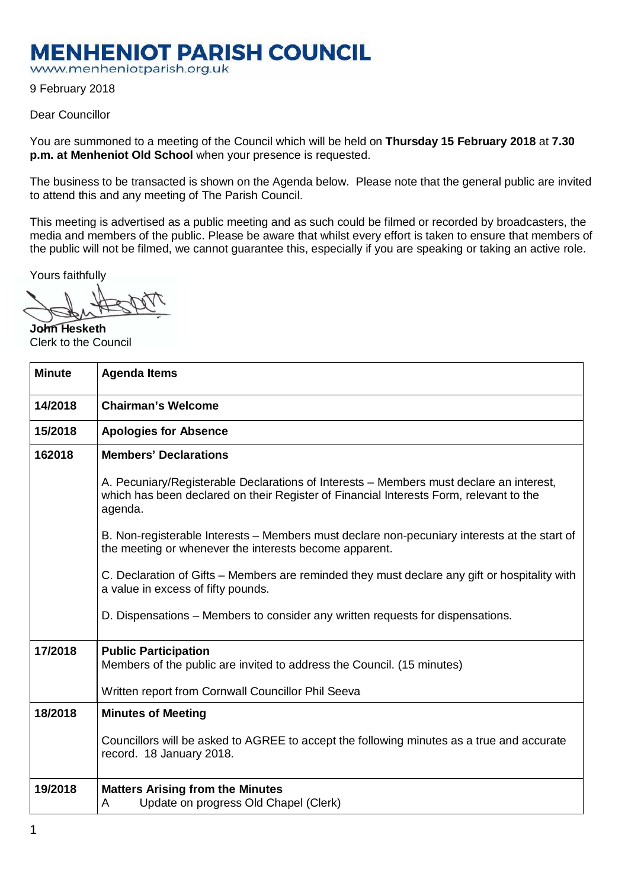## **MENHENIOT PARISH COUNCIL**

www.menheniotparish.org.uk

9 February 2018

## Dear Councillor

You are summoned to a meeting of the Council which will be held on **Thursday 15 February 2018** at **7.30 p.m. at Menheniot Old School** when your presence is requested.

The business to be transacted is shown on the Agenda below. Please note that the general public are invited to attend this and any meeting of The Parish Council.

This meeting is advertised as a public meeting and as such could be filmed or recorded by broadcasters, the media and members of the public. Please be aware that whilst every effort is taken to ensure that members of the public will not be filmed, we cannot guarantee this, especially if you are speaking or taking an active role.

Yours faithfully

**John Hesketh**  Clerk to the Council

| <b>Minute</b> | <b>Agenda Items</b>                                                                                                                                                                          |  |  |  |  |
|---------------|----------------------------------------------------------------------------------------------------------------------------------------------------------------------------------------------|--|--|--|--|
| 14/2018       | <b>Chairman's Welcome</b>                                                                                                                                                                    |  |  |  |  |
| 15/2018       | <b>Apologies for Absence</b>                                                                                                                                                                 |  |  |  |  |
| 162018        | <b>Members' Declarations</b>                                                                                                                                                                 |  |  |  |  |
|               | A. Pecuniary/Registerable Declarations of Interests – Members must declare an interest,<br>which has been declared on their Register of Financial Interests Form, relevant to the<br>agenda. |  |  |  |  |
|               | B. Non-registerable Interests – Members must declare non-pecuniary interests at the start of<br>the meeting or whenever the interests become apparent.                                       |  |  |  |  |
|               | C. Declaration of Gifts – Members are reminded they must declare any gift or hospitality with<br>a value in excess of fifty pounds.                                                          |  |  |  |  |
|               | D. Dispensations – Members to consider any written requests for dispensations.                                                                                                               |  |  |  |  |
| 17/2018       | <b>Public Participation</b><br>Members of the public are invited to address the Council. (15 minutes)<br>Written report from Cornwall Councillor Phil Seeva                                  |  |  |  |  |
| 18/2018       | <b>Minutes of Meeting</b>                                                                                                                                                                    |  |  |  |  |
|               | Councillors will be asked to AGREE to accept the following minutes as a true and accurate<br>record. 18 January 2018.                                                                        |  |  |  |  |
| 19/2018       | <b>Matters Arising from the Minutes</b><br>Update on progress Old Chapel (Clerk)<br>A                                                                                                        |  |  |  |  |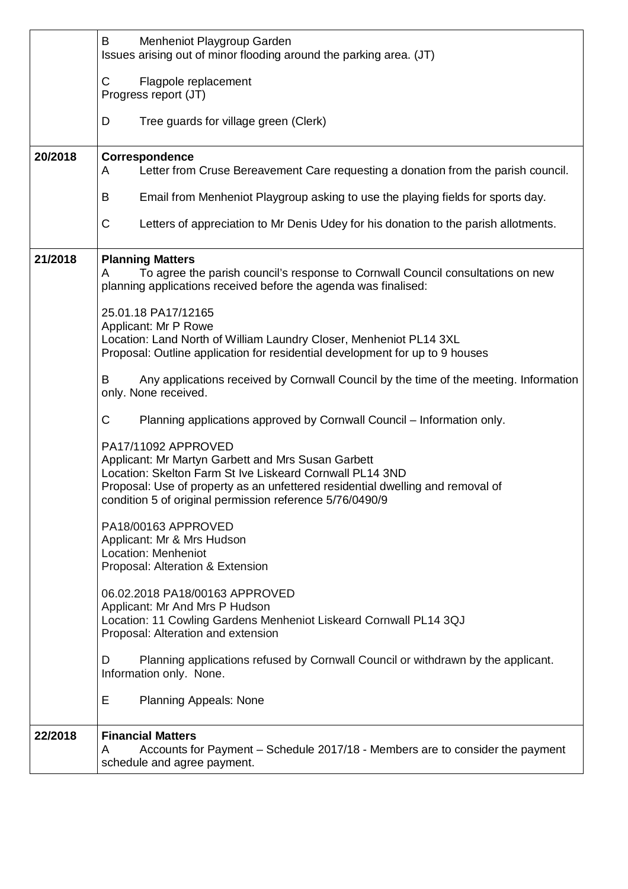|         | Menheniot Playgroup Garden<br>B<br>Issues arising out of minor flooding around the parking area. (JT)                                                                                                                                                                               |  |  |  |  |  |  |
|---------|-------------------------------------------------------------------------------------------------------------------------------------------------------------------------------------------------------------------------------------------------------------------------------------|--|--|--|--|--|--|
|         | $\mathsf C$<br>Flagpole replacement<br>Progress report (JT)                                                                                                                                                                                                                         |  |  |  |  |  |  |
|         | Tree guards for village green (Clerk)<br>D                                                                                                                                                                                                                                          |  |  |  |  |  |  |
| 20/2018 | Correspondence<br>Letter from Cruse Bereavement Care requesting a donation from the parish council.<br>A                                                                                                                                                                            |  |  |  |  |  |  |
|         | Email from Menheniot Playgroup asking to use the playing fields for sports day.<br>B                                                                                                                                                                                                |  |  |  |  |  |  |
|         | $\mathsf{C}$<br>Letters of appreciation to Mr Denis Udey for his donation to the parish allotments.                                                                                                                                                                                 |  |  |  |  |  |  |
| 21/2018 | <b>Planning Matters</b><br>To agree the parish council's response to Cornwall Council consultations on new<br>A<br>planning applications received before the agenda was finalised:                                                                                                  |  |  |  |  |  |  |
|         | 25.01.18 PA17/12165<br>Applicant: Mr P Rowe<br>Location: Land North of William Laundry Closer, Menheniot PL14 3XL<br>Proposal: Outline application for residential development for up to 9 houses                                                                                   |  |  |  |  |  |  |
|         | Any applications received by Cornwall Council by the time of the meeting. Information<br>B<br>only. None received.                                                                                                                                                                  |  |  |  |  |  |  |
|         | $\mathsf{C}$<br>Planning applications approved by Cornwall Council - Information only.                                                                                                                                                                                              |  |  |  |  |  |  |
|         | PA17/11092 APPROVED<br>Applicant: Mr Martyn Garbett and Mrs Susan Garbett<br>Location: Skelton Farm St Ive Liskeard Cornwall PL14 3ND<br>Proposal: Use of property as an unfettered residential dwelling and removal of<br>condition 5 of original permission reference 5/76/0490/9 |  |  |  |  |  |  |
|         | PA18/00163 APPROVED<br>Applicant: Mr & Mrs Hudson<br><b>Location: Menheniot</b><br>Proposal: Alteration & Extension                                                                                                                                                                 |  |  |  |  |  |  |
|         | 06.02.2018 PA18/00163 APPROVED<br>Applicant: Mr And Mrs P Hudson<br>Location: 11 Cowling Gardens Menheniot Liskeard Cornwall PL14 3QJ<br>Proposal: Alteration and extension                                                                                                         |  |  |  |  |  |  |
|         | Planning applications refused by Cornwall Council or withdrawn by the applicant.<br>D<br>Information only. None.                                                                                                                                                                    |  |  |  |  |  |  |
|         | Е<br><b>Planning Appeals: None</b>                                                                                                                                                                                                                                                  |  |  |  |  |  |  |
| 22/2018 | <b>Financial Matters</b><br>Accounts for Payment - Schedule 2017/18 - Members are to consider the payment<br>A<br>schedule and agree payment.                                                                                                                                       |  |  |  |  |  |  |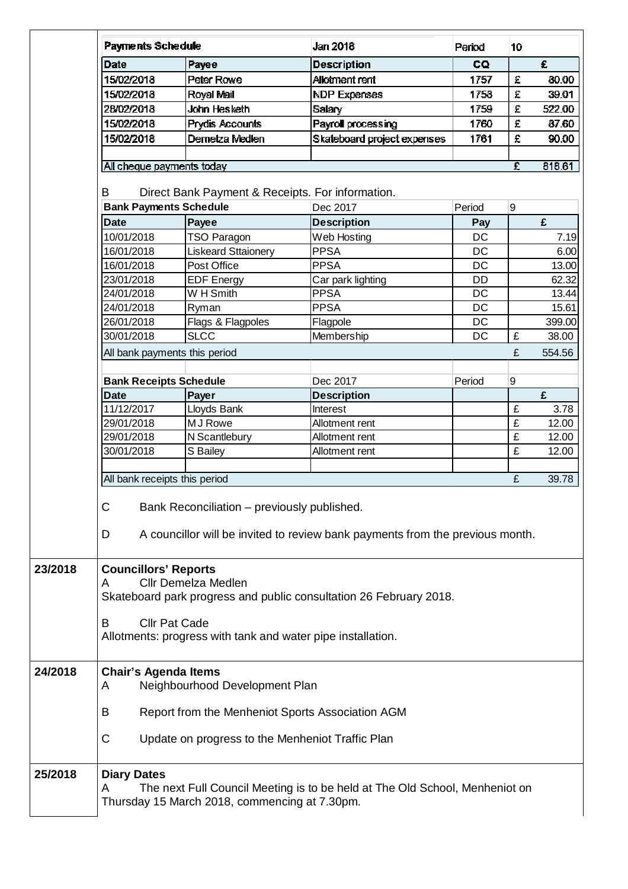|                                                                                    | Payments Schedule                                           |                                               | Jan 2018                                                                    | Period    | 10                 |        |  |  |  |
|------------------------------------------------------------------------------------|-------------------------------------------------------------|-----------------------------------------------|-----------------------------------------------------------------------------|-----------|--------------------|--------|--|--|--|
| <b>Date</b>                                                                        |                                                             | Payee                                         | <b>Description</b>                                                          | CQ        |                    | £      |  |  |  |
| 15/02/2018                                                                         |                                                             | Peter Rowe                                    | Allotment rent                                                              | 1757      | $\hat{\pmb{z}}$    | 80.00  |  |  |  |
| 15/02/2018                                                                         |                                                             | Royal Mail                                    | <b>NDP Expenses</b>                                                         | 1758      | £                  | 39.01  |  |  |  |
| 28/02/2018                                                                         |                                                             | John Hesketh                                  | Salary                                                                      | 1759      | $\hat{\mathbf{z}}$ | 522.00 |  |  |  |
| 15/02/2018                                                                         |                                                             | Prydis Accounts                               | Payroll processing                                                          | 1760      | £                  | 87.60  |  |  |  |
| 15/02/2018                                                                         |                                                             | Dernetza Medlen                               | Skateboard project expenses                                                 | 1761      | £                  | 90.00  |  |  |  |
|                                                                                    |                                                             |                                               |                                                                             |           |                    |        |  |  |  |
|                                                                                    | All cheque payments today                                   |                                               |                                                                             |           | £                  | 818.61 |  |  |  |
| B                                                                                  |                                                             |                                               | Direct Bank Payment & Receipts. For information.                            |           |                    |        |  |  |  |
|                                                                                    |                                                             | <b>Bank Payments Schedule</b>                 | Dec 2017                                                                    | Period    | 9                  |        |  |  |  |
| <b>Date</b>                                                                        |                                                             | Payee                                         | <b>Description</b>                                                          | Pay       |                    | £      |  |  |  |
| 10/01/2018                                                                         |                                                             | <b>TSO Paragon</b>                            | Web Hosting                                                                 | DC        |                    | 7.19   |  |  |  |
| 16/01/2018                                                                         |                                                             | <b>Liskeard Sttaionery</b>                    | <b>PPSA</b>                                                                 | <b>DC</b> |                    | 6.00   |  |  |  |
| 16/01/2018                                                                         |                                                             | Post Office                                   | <b>PPSA</b>                                                                 | <b>DC</b> |                    | 13.00  |  |  |  |
|                                                                                    |                                                             |                                               |                                                                             |           |                    |        |  |  |  |
| 23/01/2018                                                                         |                                                             | <b>EDF Energy</b>                             | Car park lighting                                                           | <b>DD</b> |                    | 62.32  |  |  |  |
| 24/01/2018                                                                         |                                                             | W H Smith                                     | <b>PPSA</b>                                                                 | <b>DC</b> |                    | 13.44  |  |  |  |
| 24/01/2018                                                                         |                                                             | Ryman                                         | <b>PPSA</b>                                                                 | <b>DC</b> |                    | 15.61  |  |  |  |
| 26/01/2018                                                                         |                                                             | Flags & Flagpoles                             | Flagpole                                                                    | DC        |                    | 399.00 |  |  |  |
| 30/01/2018                                                                         |                                                             | <b>SLCC</b>                                   | Membership                                                                  | <b>DC</b> | £                  | 38.00  |  |  |  |
|                                                                                    |                                                             | All bank payments this period                 |                                                                             |           | £                  | 554.56 |  |  |  |
|                                                                                    | <b>Bank Receipts Schedule</b>                               |                                               | Dec 2017                                                                    | Period    | 9                  |        |  |  |  |
| <b>Date</b>                                                                        |                                                             | Payer                                         | <b>Description</b>                                                          |           |                    | £      |  |  |  |
| 11/12/2017                                                                         |                                                             | Lloyds Bank                                   | Interest                                                                    |           | £                  | 3.78   |  |  |  |
| 29/01/2018                                                                         |                                                             | MJ Rowe                                       | Allotment rent                                                              |           | £                  | 12.00  |  |  |  |
| 29/01/2018                                                                         |                                                             | N Scantlebury                                 | Allotment rent                                                              |           | £                  | 12.00  |  |  |  |
| 30/01/2018                                                                         |                                                             | S Bailey                                      | Allotment rent                                                              |           | £                  | 12.00  |  |  |  |
|                                                                                    |                                                             |                                               |                                                                             |           |                    |        |  |  |  |
|                                                                                    |                                                             | All bank receipts this period                 |                                                                             |           | £                  | 39.78  |  |  |  |
|                                                                                    |                                                             |                                               |                                                                             |           |                    |        |  |  |  |
| C<br>Bank Reconciliation - previously published.                                   |                                                             |                                               |                                                                             |           |                    |        |  |  |  |
| A councillor will be invited to review bank payments from the previous month.<br>D |                                                             |                                               |                                                                             |           |                    |        |  |  |  |
|                                                                                    |                                                             |                                               |                                                                             |           |                    |        |  |  |  |
|                                                                                    |                                                             |                                               |                                                                             |           |                    |        |  |  |  |
| <b>Councillors' Reports</b><br><b>Cllr Demelza Medlen</b><br>A                     |                                                             |                                               |                                                                             |           |                    |        |  |  |  |
| Skateboard park progress and public consultation 26 February 2018.                 |                                                             |                                               |                                                                             |           |                    |        |  |  |  |
|                                                                                    |                                                             |                                               |                                                                             |           |                    |        |  |  |  |
| B                                                                                  | <b>Cllr Pat Cade</b>                                        |                                               |                                                                             |           |                    |        |  |  |  |
|                                                                                    | Allotments: progress with tank and water pipe installation. |                                               |                                                                             |           |                    |        |  |  |  |
|                                                                                    |                                                             |                                               |                                                                             |           |                    |        |  |  |  |
| <b>Chair's Agenda Items</b>                                                        |                                                             |                                               |                                                                             |           |                    |        |  |  |  |
| Neighbourhood Development Plan<br>A                                                |                                                             |                                               |                                                                             |           |                    |        |  |  |  |
|                                                                                    |                                                             |                                               |                                                                             |           |                    |        |  |  |  |
| Report from the Menheniot Sports Association AGM<br>B                              |                                                             |                                               |                                                                             |           |                    |        |  |  |  |
|                                                                                    | C<br>Update on progress to the Menheniot Traffic Plan       |                                               |                                                                             |           |                    |        |  |  |  |
|                                                                                    |                                                             |                                               |                                                                             |           |                    |        |  |  |  |
| <b>Diary Dates</b>                                                                 |                                                             |                                               |                                                                             |           |                    |        |  |  |  |
| A                                                                                  |                                                             |                                               | The next Full Council Meeting is to be held at The Old School, Menheniot on |           |                    |        |  |  |  |
|                                                                                    |                                                             | Thursday 15 March 2018, commencing at 7.30pm. |                                                                             |           |                    |        |  |  |  |
|                                                                                    |                                                             |                                               |                                                                             |           |                    |        |  |  |  |